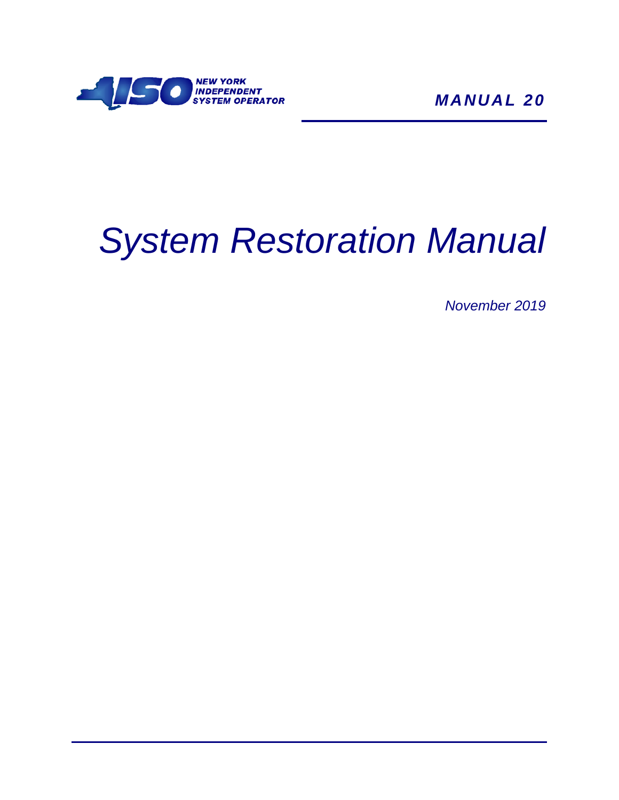

*MANUAL 20*

# *System Restoration Manual*

*November 2019*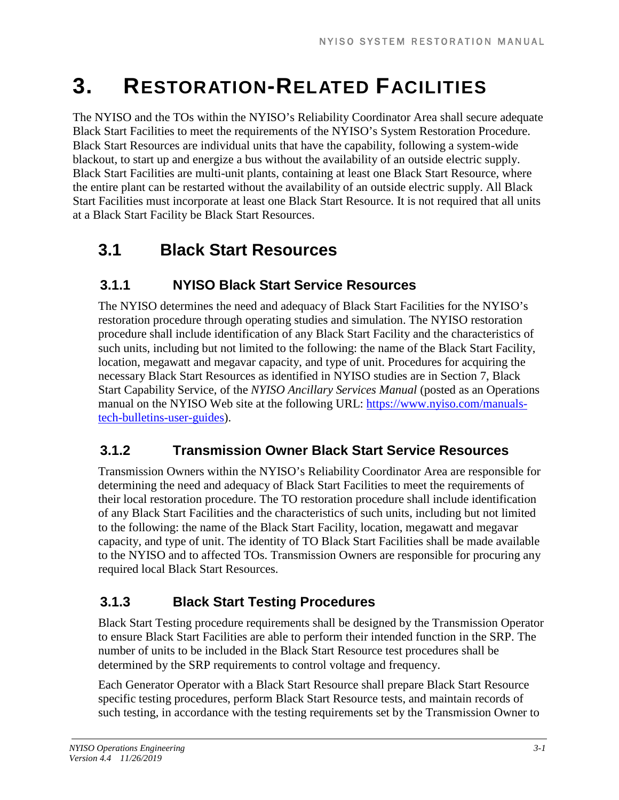# **3. RESTORATION-RELATED FACILITIES**

The NYISO and the TOs within the NYISO's Reliability Coordinator Area shall secure adequate Black Start Facilities to meet the requirements of the NYISO's System Restoration Procedure. Black Start Resources are individual units that have the capability, following a system-wide blackout, to start up and energize a bus without the availability of an outside electric supply. Black Start Facilities are multi-unit plants, containing at least one Black Start Resource, where the entire plant can be restarted without the availability of an outside electric supply. All Black Start Facilities must incorporate at least one Black Start Resource. It is not required that all units at a Black Start Facility be Black Start Resources.

# **3.1 Black Start Resources**

#### **3.1.1 NYISO Black Start Service Resources**

The NYISO determines the need and adequacy of Black Start Facilities for the NYISO's restoration procedure through operating studies and simulation. The NYISO restoration procedure shall include identification of any Black Start Facility and the characteristics of such units, including but not limited to the following: the name of the Black Start Facility, location, megawatt and megavar capacity, and type of unit. Procedures for acquiring the necessary Black Start Resources as identified in NYISO studies are in Section 7, Black Start Capability Service, of the *NYISO Ancillary Services Manual* (posted as an Operations manual on the NYISO Web site at the following URL: [https://www.nyiso.com/manuals](https://www.nyiso.com/manuals-tech-bulletins-user-guides)[tech-bulletins-user-guides\)](https://www.nyiso.com/manuals-tech-bulletins-user-guides).

#### **3.1.2 Transmission Owner Black Start Service Resources**

Transmission Owners within the NYISO's Reliability Coordinator Area are responsible for determining the need and adequacy of Black Start Facilities to meet the requirements of their local restoration procedure. The TO restoration procedure shall include identification of any Black Start Facilities and the characteristics of such units, including but not limited to the following: the name of the Black Start Facility, location, megawatt and megavar capacity, and type of unit. The identity of TO Black Start Facilities shall be made available to the NYISO and to affected TOs. Transmission Owners are responsible for procuring any required local Black Start Resources.

#### **3.1.3 Black Start Testing Procedures**

Black Start Testing procedure requirements shall be designed by the Transmission Operator to ensure Black Start Facilities are able to perform their intended function in the SRP. The number of units to be included in the Black Start Resource test procedures shall be determined by the SRP requirements to control voltage and frequency.

Each Generator Operator with a Black Start Resource shall prepare Black Start Resource specific testing procedures, perform Black Start Resource tests, and maintain records of such testing, in accordance with the testing requirements set by the Transmission Owner to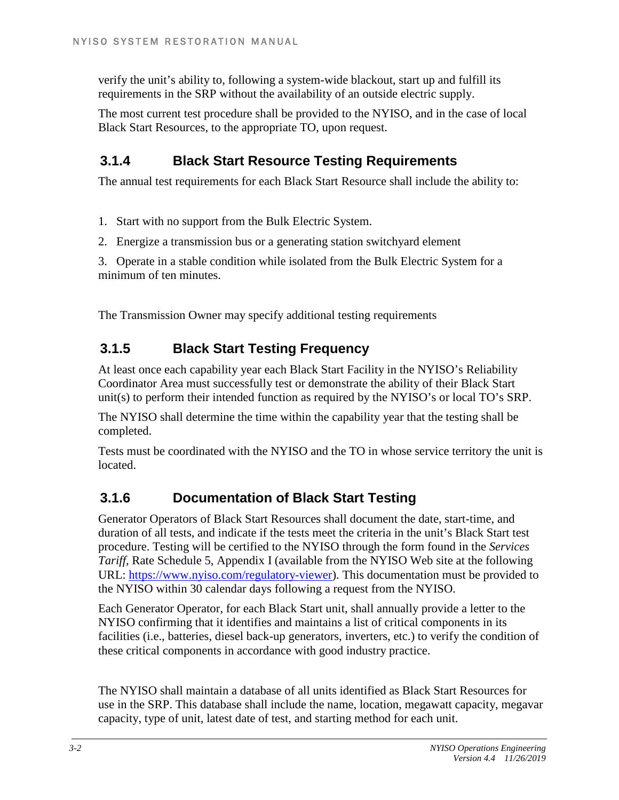verify the unit's ability to, following a system-wide blackout, start up and fulfill its requirements in the SRP without the availability of an outside electric supply.

The most current test procedure shall be provided to the NYISO, and in the case of local Black Start Resources, to the appropriate TO, upon request.

#### **3.1.4 Black Start Resource Testing Requirements**

The annual test requirements for each Black Start Resource shall include the ability to:

1. Start with no support from the Bulk Electric System.

2. Energize a transmission bus or a generating station switchyard element

3. Operate in a stable condition while isolated from the Bulk Electric System for a minimum of ten minutes.

The Transmission Owner may specify additional testing requirements

#### **3.1.5 Black Start Testing Frequency**

At least once each capability year each Black Start Facility in the NYISO's Reliability Coordinator Area must successfully test or demonstrate the ability of their Black Start unit(s) to perform their intended function as required by the NYISO's or local TO's SRP.

The NYISO shall determine the time within the capability year that the testing shall be completed.

Tests must be coordinated with the NYISO and the TO in whose service territory the unit is located.

#### **3.1.6 Documentation of Black Start Testing**

Generator Operators of Black Start Resources shall document the date, start-time, and duration of all tests, and indicate if the tests meet the criteria in the unit's Black Start test procedure. Testing will be certified to the NYISO through the form found in the *Services Tariff*, Rate Schedule 5, Appendix I (available from the NYISO Web site at the following URL: [https://www.nyiso.com/regulatory-viewer\)](https://www.nyiso.com/regulatory-viewer). This documentation must be provided to the NYISO within 30 calendar days following a request from the NYISO.

Each Generator Operator, for each Black Start unit, shall annually provide a letter to the NYISO confirming that it identifies and maintains a list of critical components in its facilities (i.e., batteries, diesel back-up generators, inverters, etc.) to verify the condition of these critical components in accordance with good industry practice.

The NYISO shall maintain a database of all units identified as Black Start Resources for use in the SRP. This database shall include the name, location, megawatt capacity, megavar capacity, type of unit, latest date of test, and starting method for each unit.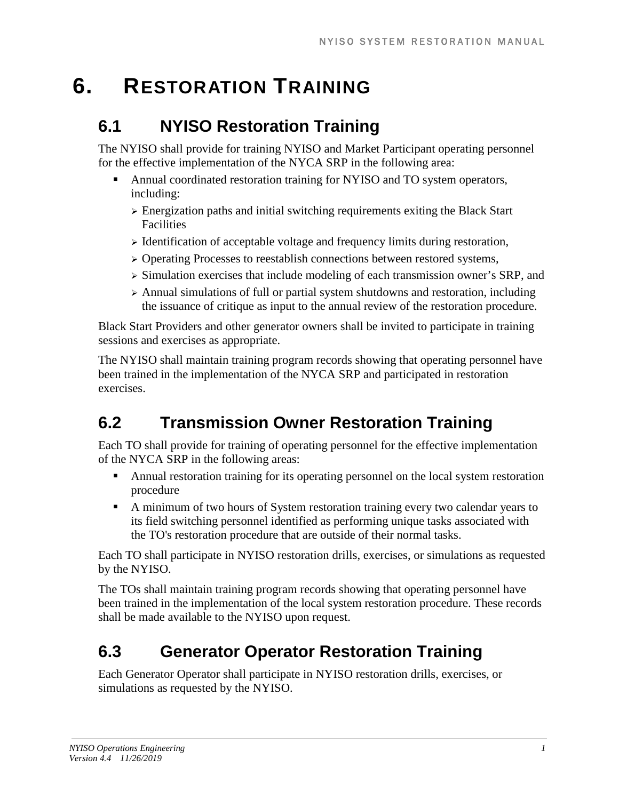# **6. RESTORATION TRAINING**

### **6.1 NYISO Restoration Training**

The NYISO shall provide for training NYISO and Market Participant operating personnel for the effective implementation of the NYCA SRP in the following area:

- Annual coordinated restoration training for NYISO and TO system operators, including:
	- Energization paths and initial switching requirements exiting the Black Start Facilities
	- $\triangleright$  Identification of acceptable voltage and frequency limits during restoration,
	- Operating Processes to reestablish connections between restored systems,
	- $\triangleright$  Simulation exercises that include modeling of each transmission owner's SRP, and
	- $\triangleright$  Annual simulations of full or partial system shutdowns and restoration, including the issuance of critique as input to the annual review of the restoration procedure.

Black Start Providers and other generator owners shall be invited to participate in training sessions and exercises as appropriate.

The NYISO shall maintain training program records showing that operating personnel have been trained in the implementation of the NYCA SRP and participated in restoration exercises.

# **6.2 Transmission Owner Restoration Training**

Each TO shall provide for training of operating personnel for the effective implementation of the NYCA SRP in the following areas:

- **•** Annual restoration training for its operating personnel on the local system restoration procedure
- A minimum of two hours of System restoration training every two calendar years to its field switching personnel identified as performing unique tasks associated with the TO's restoration procedure that are outside of their normal tasks.

Each TO shall participate in NYISO restoration drills, exercises, or simulations as requested by the NYISO.

The TOs shall maintain training program records showing that operating personnel have been trained in the implementation of the local system restoration procedure. These records shall be made available to the NYISO upon request.

# **6.3 Generator Operator Restoration Training**

Each Generator Operator shall participate in NYISO restoration drills, exercises, or simulations as requested by the NYISO.